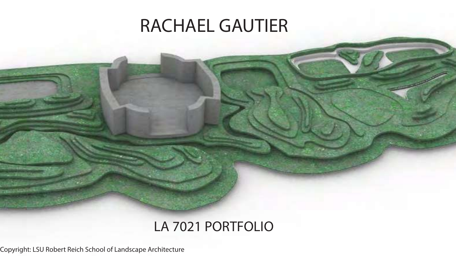## RACHAEL GAUTIER

## LA 7021 PORTFOLIO

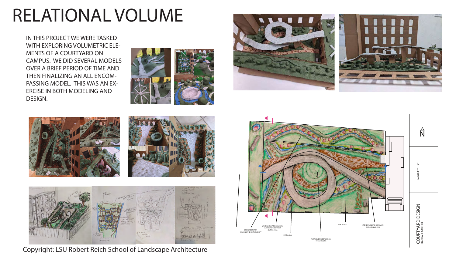$SCALE1'' = 1'-0''$ SCALE1"= 1'-0"

 $\hat{\mathsf{N}}$ 

COURTYARD DESIGN COURTYARD DESIGN RACHAEL GAUTIER





## RELATIONAL VOLUME

IN THIS PROJECT WE WERE TASKED WITH EXPLORING VOLUMETRIC ELE-MENTS OF A COURTYARD ON CAMPUS. WE DID SEVERAL MODELS OVER A BRIEF PERIOD OF TIME AND THEN FINALIZING AN ALL ENCOM-PASSING MODEL. THIS WAS AN EX-ERCISE IN BOTH MODELING AND DESIGN.









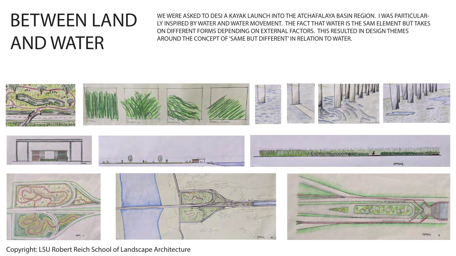# BETWEEN LAND AND WATER

WE WERE ASKED TO DESI A KAYAK LAUNCH INTO THE ATCHAFALAYA BASIN REGION. I WAS PARTICULAR-LY INSPIRED BY WATER AND WATER MOVEMENT. THE FACT THAT WATER IS THE SAM ELEMENT BUT TAKES ON DIFFERENT FORMS DEPENDING ON EXTERNAL FACTORS. THIS RESULTED IN DESIGN THEMES AROUND THE CONCEPT OF 'SAME BUT DIFFERENT' IN RELATION TO WATER.

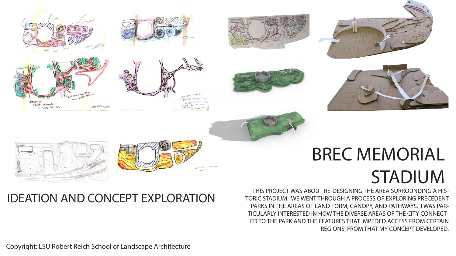

# STADIUM

THIS PROJECT WAS ABOUT RE-DESIGNING THE AREA SURROUNDING A HIS-TORIC STADIUM. WE WENT THROUGH A PROCESS OF EXPLORING PRECEDENT PARKS IN THE AREAS OF LAND FORM, CANOPY, AND PATHWAYS. I WAS PAR-TICULARLY INTERESTED IN HOW THE DIVERSE AREAS OF THE CITY CONNECT-ED TO THE PARK AND THE FEATURES THAT IMPEDED ACCESS FROM CERTAIN REGIONS, FROM THAT MY CONCEPT DEVELOPED.

### IDEATION AND CONCEPT EXPLORATION